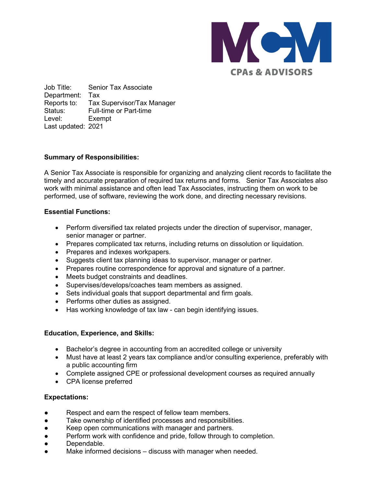

Job Title: Senior Tax Associate Department: Tax Reports to: Tax Supervisor/Tax Manager Status: Full-time or Part-time Level: Exempt Last updated: 2021

# **Summary of Responsibilities:**

A Senior Tax Associate is responsible for organizing and analyzing client records to facilitate the timely and accurate preparation of required tax returns and forms. Senior Tax Associates also work with minimal assistance and often lead Tax Associates, instructing them on work to be performed, use of software, reviewing the work done, and directing necessary revisions.

# **Essential Functions:**

- Perform diversified tax related projects under the direction of supervisor, manager, senior manager or partner.
- Prepares complicated tax returns, including returns on dissolution or liquidation.
- Prepares and indexes workpapers.
- Suggests client tax planning ideas to supervisor, manager or partner.
- Prepares routine correspondence for approval and signature of a partner.
- Meets budget constraints and deadlines.
- Supervises/develops/coaches team members as assigned.
- Sets individual goals that support departmental and firm goals.
- Performs other duties as assigned.
- Has working knowledge of tax law can begin identifying issues.

## **Education, Experience, and Skills:**

- Bachelor's degree in accounting from an accredited college or university
- Must have at least 2 years tax compliance and/or consulting experience, preferably with a public accounting firm
- Complete assigned CPE or professional development courses as required annually
- CPA license preferred

## **Expectations:**

- Respect and earn the respect of fellow team members.
- Take ownership of identified processes and responsibilities.
- Keep open communications with manager and partners.
- Perform work with confidence and pride, follow through to completion.
- Dependable.
- Make informed decisions discuss with manager when needed.